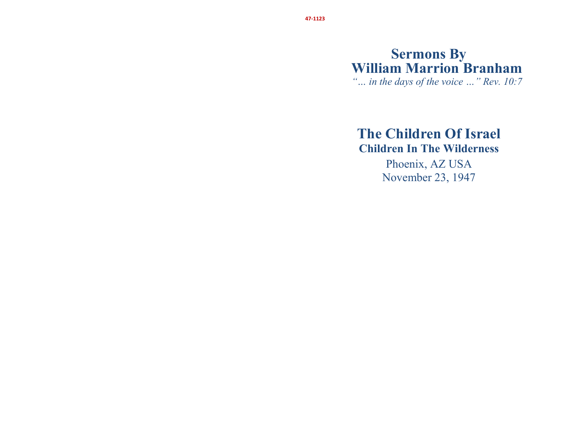# **Sermons By William Marrion Branham**

*"… in the days of the voice …" Rev. 10:7* 

## **The Children Of Israel Children In The Wilderness**

Phoenix, AZ USA November 23, 1947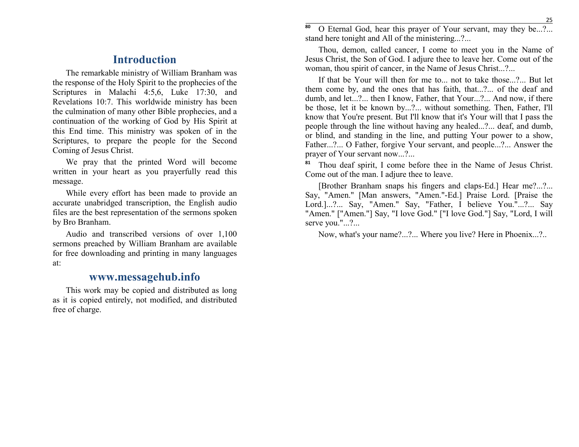### **Introduction**

The remarkable ministry of William Branham was the response of the Holy Spirit to the prophecies of the Scriptures in Malachi 4:5,6, Luke 17:30, and Revelations 10:7. This worldwide ministry has been the culmination of many other Bible prophecies, and a continuation of the working of God by His Spirit at this End time. This ministry was spoken of in the Scriptures, to prepare the people for the Second Coming of Jesus Christ.

We pray that the printed Word will become written in your heart as you prayerfully read this message.

While every effort has been made to provide an accurate unabridged transcription, the English audio files are the best representation of the sermons spoken by Bro Branham.

Audio and transcribed versions of over 1,100 sermons preached by William Branham are available for free downloading and printing in many languagesat:

#### **www.messagehub.info**

This work may be copied and distributed as long as it is copied entirely, not modified, and distributed free of charge.

<sup>o</sup> O Eternal God, hear this prayer of Your servant, may they be...?... **80**stand here tonight and All of the ministering...?...

Thou, demon, called cancer, I come to meet you in the Name of Jesus Christ, the Son of God. I adjure thee to leave her. Come out of the woman, thou spirit of cancer, in the Name of Jesus Christ...?...

If that be Your will then for me to... not to take those...?... But let them come by, and the ones that has faith, that...?... of the deaf and dumb, and let...?... then I know, Father, that Your...?... And now, if there be those, let it be known by...?... without something. Then, Father, I'll know that You're present. But I'll know that it's Your will that I pass the people through the line without having any healed...?... deaf, and dumb, or blind, and standing in the line, and putting Your power to a show, Father...?... O Father, forgive Your servant, and people...?... Answer the prayer of Your servant now...?...

**81** Thou deaf spirit, I come before thee in the Name of Jesus Christ. Come out of the man. I adjure thee to leave.

[Brother Branham snaps his fingers and claps-Ed.] Hear me?...?... Say, "Amen." [Man answers, "Amen."-Ed.] Praise Lord. [Praise the Lord.]...?... Say, "Amen." Say, "Father, I believe You."...?... Say "Amen." ["Amen."] Say, "I love God." ["I love God."] Say, "Lord, I will serve you."...?...

Now, what's your name?...?... Where you live? Here in Phoenix...?..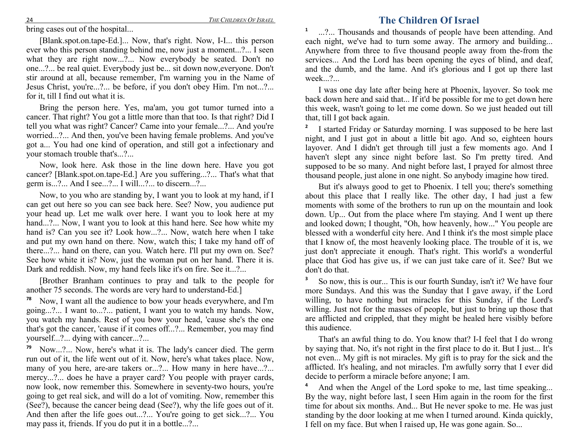bring cases out of the hospital...

[Blank.spot.on.tape-Ed.]... Now, that's right. Now, I-I... this person ever who this person standing behind me, now just a moment...?... I seen what they are right now...?... Now everybody be seated. Don't no one...?... be real quiet. Everybody just be... sit down now,everyone. Don't stir around at all, because remember, I'm warning you in the Name of Jesus Christ, you're...?... be before, if you don't obey Him. I'm not...?... for it, till I find out what it is.

Bring the person here. Yes, ma'am, you got tumor turned into a cancer. That right? You got a little more than that too. Is that right? Did I tell you what was right? Cancer? Came into your female...?... And you're worried...?... And then, you've been having female problems. And you've got a... You had one kind of operation, and still got a infectionary and your stomach trouble that's...?...

Now, look here. Ask those in the line down here. Have you got cancer? [Blank.spot.on.tape-Ed.] Are you suffering...?... That's what that germ is...?... And I see...?... I will...?... to discern...?...

Now, to you who are standing by, I want you to look at my hand, if I can get out here so you can see back here. See? Now, you audience put your head up. Let me walk over here. I want you to look here at my hand...?... Now, I want you to look at this hand here. See how white my hand is? Can you see it? Look how...?... Now, watch here when I take and put my own hand on there. Now, watch this; I take my hand off of there...?... hand on there, can you. Watch here. I'll put my own on. See? See how white it is? Now, just the woman put on her hand. There it is. Dark and reddish. Now, my hand feels like it's on fire. See it...?...

[Brother Branham continues to pray and talk to the people for another 75 seconds. The words are very hard to understand-Ed.]

**78** Now, I want all the audience to bow your heads everywhere, and I'm going...?... I want to...?... patient, I want you to watch my hands. Now, you watch my hands. Rest of you bow your head, 'cause she's the one that's got the cancer, 'cause if it comes off...?... Remember, you may find yourself...?... dying with cancer...?...

**79** Now...?... Now, here's what it is. The lady's cancer died. The germ run out of it, the life went out of it. Now, here's what takes place. Now, many of you here, are-are takers or...?... How many in here have...?... mercy...?... does he have a prayer card? You people with prayer cards, now look, now remember this. Somewhere in seventy-two hours, you're going to get real sick, and will do a lot of vomiting. Now, remember this (See?), because the cancer being dead (See?), why the life goes out of it. And then after the life goes out...?... You're going to get sick...?... You may pass it, friends. If you do put it in a bottle...?...

#### **The Children Of Israel**

**1** ...?... Thousands and thousands of people have been attending. And each night, we've had to turn some away. The armory and building... Anywhere from three to five thousand people away from the-from the services... And the Lord has been opening the eyes of blind, and deaf, and the dumb, and the lame. And it's glorious and I got up there last week...?...

I was one day late after being here at Phoenix, layover. So took me back down here and said that... If it'd be possible for me to get down here this week, wasn't going to let me come down. So we just headed out till that, till I got back again.

**2** I started Friday or Saturday morning. I was supposed to be here last night, and I just got in about a little bit ago. And so, eighteen hours layover. And I didn't get through till just a few moments ago. And I haven't slept any since night before last. So I'm pretty tired. And supposed to be so many. And night before last, I prayed for almost three thousand people, just alone in one night. So anybody imagine how tired.

But it's always good to get to Phoenix. I tell you; there's something about this place that I really like. The other day, I had just a few moments with some of the brothers to run up on the mountain and look down. Up... Out from the place where I'm staying. And I went up there and looked down; I thought, "Oh, how heavenly, how..." You people are blessed with a wonderful city here. And I think it's the most simple place that I know of, the most heavenly looking place. The trouble of it is, we just don't appreciate it enough. That's right. This world's a wonderful place that God has give us, if we can just take care of it. See? But we don't do that.

**3** So now, this is our... This is our fourth Sunday, isn't it? We have four more Sundays. And this was the Sunday that I gave away, if the Lord willing, to have nothing but miracles for this Sunday, if the Lord's willing. Just not for the masses of people, but just to bring up those that are afflicted and crippled, that they might be healed here visibly before this audience.

That's an awful thing to do. You know that? I-I feel that I do wrong by saying that. No, it's not right in the first place to do it. But I just... It's not even... My gift is not miracles. My gift is to pray for the sick and the afflicted. It's healing, and not miracles. I'm awfully sorry that I ever did decide to perform a miracle before anyone; I am.

**4** And when the Angel of the Lord spoke to me, last time speaking... By the way, night before last, I seen Him again in the room for the first time for about six months. And... But He never spoke to me. He was just standing by the door looking at me when I turned around. Kinda quickly, I fell on my face. But when I raised up, He was gone again. So...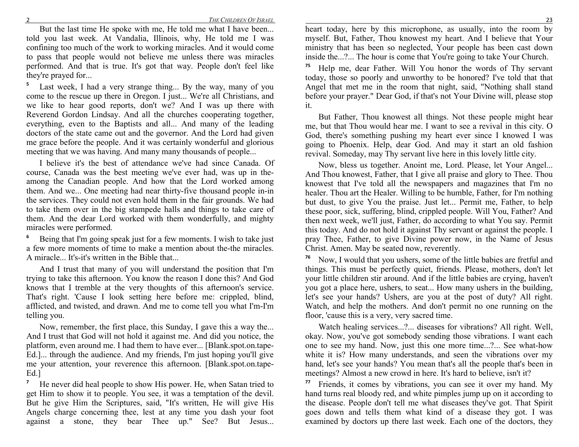But the last time He spoke with me, He told me what I have been... told you last week. At Vandalia, Illinois, why, He told me I was confining too much of the work to working miracles. And it would come to pass that people would not believe me unless there was miracles performed. And that is true. It's got that way. People don't feel like they're prayed for...

**5** Last week, I had a very strange thing... By the way, many of you come to the rescue up there in Oregon. I just... We're all Christians, and we like to hear good reports, don't we? And I was up there with Reverend Gordon Lindsay. And all the churches cooperating together, everything, even to the Baptists and all... And many of the leading doctors of the state came out and the governor. And the Lord had given me grace before the people. And it was certainly wonderful and glorious meeting that we was having. And many many thousands of people...

I believe it's the best of attendance we've had since Canada. Of course, Canada was the best meeting we've ever had, was up in theamong the Canadian people. And how that the Lord worked among them. And we... One meeting had near thirty-five thousand people in-in the services. They could not even hold them in the fair grounds. We had to take them over in the big stampede halls and things to take care of them. And the dear Lord worked with them wonderfully, and mighty miracles were performed.

**6** Being that I'm going speak just for a few moments. I wish to take just a few more moments of time to make a mention about the-the miracles. A miracle... It's-it's written in the Bible that...

And I trust that many of you will understand the position that I'm trying to take this afternoon. You know the reason I done this? And God knows that I tremble at the very thoughts of this afternoon's service. That's right. 'Cause I look setting here before me: crippled, blind, afflicted, and twisted, and drawn. And me to come tell you what I'm-I'm telling you.

Now, remember, the first place, this Sunday, I gave this a way the... And I trust that God will not hold it against me. And did you notice, the platform, even around me. I had them to have ever... [Blank.spot.on.tape-Ed.]... through the audience. And my friends, I'm just hoping you'll give me your attention, your reverence this afternoon. [Blank.spot.on.tape-Ed.]

**7** He never did heal people to show His power. He, when Satan tried to get Him to show it to people. You see, it was a temptation of the devil. But he give Him the Scriptures, said, "It's written, He will give His Angels charge concerning thee, lest at any time you dash your foot against a stone, they bear Thee up." See? But Jesus...

 heart today, here by this microphone, as usually, into the room by myself. But, Father, Thou knowest my heart. And I believe that Your ministry that has been so neglected, Your people has been cast down inside the...?... The hour is come that You're going to take Your Church.

**75** Help me, dear Father. Will You honor the words of Thy servant today, those so poorly and unworthy to be honored? I've told that that Angel that met me in the room that night, said, "Nothing shall stand before your prayer." Dear God, if that's not Your Divine will, please stop it.

But Father, Thou knowest all things. Not these people might hear me, but that Thou would hear me. I want to see a revival in this city. O God, there's something pushing my heart ever since I knowed I was going to Phoenix. Help, dear God. And may it start an old fashion revival. Someday, may Thy servant live here in this lovely little city.

Now, bless us together. Anoint me, Lord. Please, let Your Angel... And Thou knowest, Father, that I give all praise and glory to Thee. Thou knowest that I've told all the newspapers and magazines that I'm no healer. Thou art the Healer. Willing to be humble, Father, for I'm nothing but dust, to give You the praise. Just let... Permit me, Father, to help these poor, sick, suffering, blind, crippled people. Will You, Father? And then next week, we'll just, Father, do according to what You say. Permit this today. And do not hold it against Thy servant or against the people. I pray Thee, Father, to give Divine power now, in the Name of Jesus Christ. Amen. May be seated now, reverently.

**76** Now, I would that you ushers, some of the little babies are fretful and things. This must be perfectly quiet, friends. Please, mothers, don't let your little children stir around. And if the little babies are crying, haven't you got a place here, ushers, to seat... How many ushers in the building, let's see your hands? Ushers, are you at the post of duty? All right. Watch, and help the mothers. And don't permit no one running on the floor, 'cause this is a very, very sacred time.

Watch healing services...?... diseases for vibrations? All right. Well, okay. Now, you've got somebody sending those vibrations. I want each one to see my hand. Now, just this one more time...?... See what-how white it is? How many understands, and seen the vibrations over my hand, let's see your hands? You mean that's all the people that's been in meetings? Almost a new crowd in here. It's hard to believe, isn't it?

**77** Friends, it comes by vibrations, you can see it over my hand. My hand turns real bloody red, and white pimples jump up on it according to the disease. People don't tell me what diseases they've got. That Spirit goes down and tells them what kind of a disease they got. I was examined by doctors up there last week. Each one of the doctors, they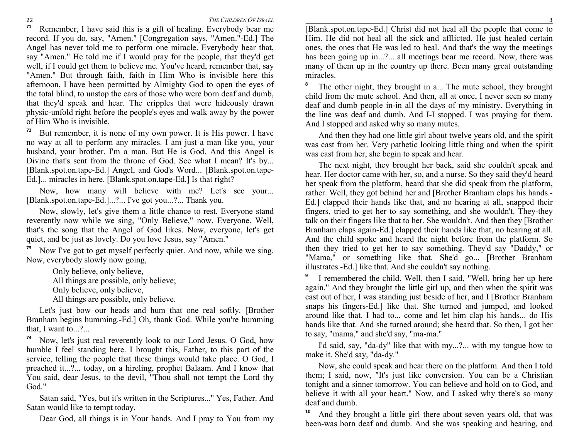22 **71**

<sup>1</sup> Remember, I have said this is a gift of healing. Everybody bear me record. If you do, say, "Amen." [Congregation says, "Amen."-Ed.] The Angel has never told me to perform one miracle. Everybody hear that, say "Amen." He told me if I would pray for the people, that they'd get well, if I could get them to believe me. You've heard, remember that, say "Amen." But through faith, faith in Him Who is invisible here this afternoon, I have been permitted by Almighty God to open the eyes of the total blind, to unstop the ears of those who were born deaf and dumb, that they'd speak and hear. The cripples that were hideously drawn physic-unfold right before the people's eyes and walk away by the power of Him Who is invisible.

**72** But remember, it is none of my own power. It is His power. I have no way at all to perform any miracles. I am just a man like you, your husband, your brother. I'm a man. But He is God. And this Angel is Divine that's sent from the throne of God. See what I mean? It's by... [Blank.spot.on.tape-Ed.] Angel, and God's Word... [Blank.spot.on.tape-Ed.]... miracles in here. [Blank.spot.on.tape-Ed.] Is that right?

Now, how many will believe with me? Let's see your... [Blank.spot.on.tape-Ed.]...?... I've got you...?... Thank you.

Now, slowly, let's give them a little chance to rest. Everyone stand reverently now while we sing, "Only Believe," now. Everyone. Well, that's the song that the Angel of God likes. Now, everyone, let's get quiet, and be just as lovely. Do you love Jesus, say "Amen."

**73** Now I've got to get myself perfectly quiet. And now, while we sing. Now, everybody slowly now going,

Only believe, only believe, All things are possible, only believe; Only believe, only believe, All things are possible, only believe.

Let's just bow our heads and hum that one real softly. [Brother Branham begins humming.-Ed.] Oh, thank God. While you're humming that, I want to...?...

**74** Now, let's just real reverently look to our Lord Jesus. O God, how humble I feel standing here. I brought this, Father, to this part of the service, telling the people that these things would take place. O God, I preached it...?... today, on a hireling, prophet Balaam. And I know that You said, dear Jesus, to the devil, "Thou shall not tempt the Lord thy God."

Satan said, "Yes, but it's written in the Scriptures..." Yes, Father. And Satan would like to tempt today.

Dear God, all things is in Your hands. And I pray to You from my

 [Blank.spot.on.tape-Ed.] Christ did not heal all the people that come to Him. He did not heal all the sick and afflicted. He just healed certain ones, the ones that He was led to heal. And that's the way the meetings has been going up in...?... all meetings bear me record. Now, there was many of them up in the country up there. Been many great outstanding miracles.

**8** The other night, they brought in a... The mute school, they brought child from the mute school. And then, all at once, I never seen so many deaf and dumb people in-in all the days of my ministry. Everything in the line was deaf and dumb. And I-I stopped. I was praying for them. And I stopped and asked why so many mutes.

And then they had one little girl about twelve years old, and the spirit was cast from her. Very pathetic looking little thing and when the spirit was cast from her, she begin to speak and hear.

The next night, they brought her back, said she couldn't speak and hear. Her doctor came with her, so, and a nurse. So they said they'd heard her speak from the platform, heard that she did speak from the platform, rather. Well, they got behind her and [Brother Branham claps his hands.- Ed.] clapped their hands like that, and no hearing at all, snapped their fingers, tried to get her to say something, and she wouldn't. They-they talk on their fingers like that to her. She wouldn't. And then they [Brother Branham claps again-Ed.] clapped their hands like that, no hearing at all. And the child spoke and heard the night before from the platform. So then they tried to get her to say something. They'd say "Daddy," or "Mama," or something like that. She'd go... [Brother Branham illustrates.-Ed.] like that. And she couldn't say nothing.

<sup>9</sup> I remembered the child. Well, then I said, "Well, bring her up here **9** again." And they brought the little girl up, and then when the spirit was cast out of her, I was standing just beside of her, and I [Brother Branham snaps his fingers-Ed.] like that. She turned and jumped, and looked around like that. I had to... come and let him clap his hands... do His hands like that. And she turned around; she heard that. So then, I got her to say, "mama," and she'd say, "ma-ma."

I'd said, say, "da-dy" like that with my...?... with my tongue how to make it. She'd say, "da-dy."

Now, she could speak and hear there on the platform. And then I told them; I said, now, "It's just like conversion. You can be a Christian tonight and a sinner tomorrow. You can believe and hold on to God, and believe it with all your heart." Now, and I asked why there's so many deaf and dumb.

**10** And they brought a little girl there about seven years old, that was been-was born deaf and dumb. And she was speaking and hearing, and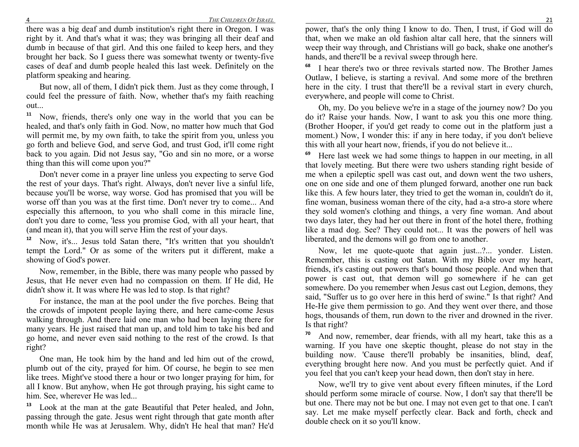there was a big deaf and dumb institution's right there in Oregon. I was right by it. And that's what it was; they was bringing all their deaf and dumb in because of that girl. And this one failed to keep hers, and they brought her back. So I guess there was somewhat twenty or twenty-five cases of deaf and dumb people healed this last week. Definitely on the platform speaking and hearing.

But now, all of them, I didn't pick them. Just as they come through, I could feel the pressure of faith. Now, whether that's my faith reaching out...

**11** Now, friends, there's only one way in the world that you can be healed, and that's only faith in God. Now, no matter how much that God will permit me, by my own faith, to take the spirit from you, unless you go forth and believe God, and serve God, and trust God, it'll come right back to you again. Did not Jesus say, "Go and sin no more, or a worse thing than this will come upon you?"

Don't never come in a prayer line unless you expecting to serve God the rest of your days. That's right. Always, don't never live a sinful life, because you'll be worse, way worse. God has promised that you will be worse off than you was at the first time. Don't never try to come... And especially this afternoon, to you who shall come in this miracle line, don't you dare to come, 'less you promise God, with all your heart, that (and mean it), that you will serve Him the rest of your days.

**12** Now, it's... Jesus told Satan there, "It's written that you shouldn't tempt the Lord." Or as some of the writers put it different, make a showing of God's power.

Now, remember, in the Bible, there was many people who passed by Jesus, that He never even had no compassion on them. If He did, He didn't show it. It was where He was led to stop. Is that right?

For instance, the man at the pool under the five porches. Being that the crowds of impotent people laying there, and here came-come Jesus walking through. And there laid one man who had been laying there for many years. He just raised that man up, and told him to take his bed and go home, and never even said nothing to the rest of the crowd. Is that right?

One man, He took him by the hand and led him out of the crowd, plumb out of the city, prayed for him. Of course, he begin to see men like trees. Might've stood there a hour or two longer praying for him, for all I know. But anyhow, when He got through praying, his sight came to him. See, wherever He was led...

**13** Look at the man at the gate Beautiful that Peter healed, and John, passing through the gate. Jesus went right through that gate month after month while He was at Jerusalem. Why, didn't He heal that man? He'd

 power, that's the only thing I know to do. Then, I trust, if God will do that, when we make an old fashion altar call here, that the sinners will weep their way through, and Christians will go back, shake one another's hands, and there'll be a revival sweep through here.

**68** I hear there's two or three revivals started now. The Brother James Outlaw, I believe, is starting a revival. And some more of the brethren here in the city. I trust that there'll be a revival start in every church, everywhere, and people will come to Christ.

Oh, my. Do you believe we're in a stage of the journey now? Do you do it? Raise your hands. Now, I want to ask you this one more thing. (Brother Hooper, if you'd get ready to come out in the platform just a moment.) Now, I wonder this: if any in here today, if you don't believe this with all your heart now, friends, if you do not believe it...

**69** Here last week we had some things to happen in our meeting, in all that lovely meeting. But there were two ushers standing right beside of me when a epileptic spell was cast out, and down went the two ushers, one on one side and one of them plunged forward, another one run back like this. A few hours later, they tried to get the woman in, couldn't do it, fine woman, business woman there of the city, had a-a stro-a store where they sold women's clothing and things, a very fine woman. And about two days later, they had her out there in front of the hotel there, frothing like a mad dog. See? They could not... It was the powers of hell was liberated, and the demons will go from one to another.

Now, let me quote-quote that again just...?... yonder. Listen. Remember, this is casting out Satan. With my Bible over my heart, friends, it's casting out powers that's bound those people. And when that power is cast out, that demon will go somewhere if he can get somewhere. Do you remember when Jesus cast out Legion, demons, they said, "Suffer us to go over here in this herd of swine." Is that right? And He-He give them permission to go. And they went over there, and those hogs, thousands of them, run down to the river and drowned in the river. Is that right?

**70** And now, remember, dear friends, with all my heart, take this as a warning. If you have one skeptic thought, please do not stay in the building now. 'Cause there'll probably be insanities, blind, deaf, everything brought here now. And you must be perfectly quiet. And if you feel that you can't keep your head down, then don't stay in here.

Now, we'll try to give vent about every fifteen minutes, if the Lord should perform some miracle of course. Now, I don't say that there'll be but one. There may not be but one. I may not even get to that one. I can't say. Let me make myself perfectly clear. Back and forth, check and double check on it so you'll know.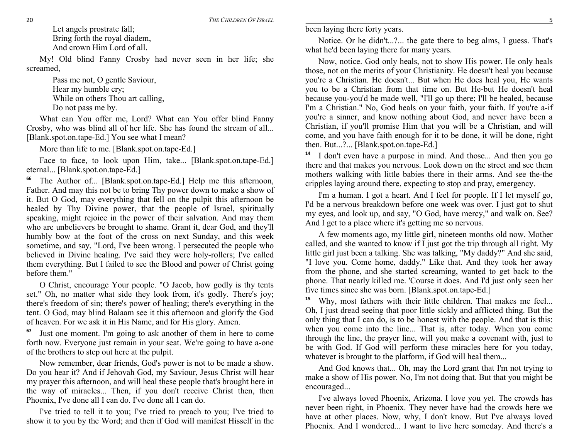Let angels prostrate fall; Bring forth the royal diadem, And crown Him Lord of all.

My! Old blind Fanny Crosby had never seen in her life; she screamed,

> Pass me not, O gentle Saviour, Hear my humble cry; While on others Thou art calling, Do not pass me by.

What can You offer me, Lord? What can You offer blind Fanny Crosby, who was blind all of her life. She has found the stream of all... [Blank.spot.on.tape-Ed.] You see what I mean?

More than life to me. [Blank.spot.on.tape-Ed.]

Face to face, to look upon Him, take... [Blank.spot.on.tape-Ed.] eternal... [Blank.spot.on.tape-Ed.]

**66** The Author of... [Blank.spot.on.tape-Ed.] Help me this afternoon, Father. And may this not be to bring Thy power down to make a show of it. But O God, may everything that fell on the pulpit this afternoon be healed by Thy Divine power, that the people of Israel, spiritually speaking, might rejoice in the power of their salvation. And may them who are unbelievers be brought to shame. Grant it, dear God, and they'll humbly bow at the foot of the cross on next Sunday, and this week sometime, and say, "Lord, I've been wrong. I persecuted the people who believed in Divine healing. I've said they were holy-rollers; I've called them everything. But I failed to see the Blood and power of Christ going before them."

O Christ, encourage Your people. "O Jacob, how godly is thy tents set." Oh, no matter what side they look from, it's godly. There's joy; there's freedom of sin; there's power of healing; there's everything in the tent. O God, may blind Balaam see it this afternoon and glorify the God of heaven. For we ask it in His Name, and for His glory. Amen.

**67** Just one moment. I'm going to ask another of them in here to come forth now. Everyone just remain in your seat. We're going to have a-one of the brothers to step out here at the pulpit.

Now remember, dear friends, God's power is not to be made a show. Do you hear it? And if Jehovah God, my Saviour, Jesus Christ will hear my prayer this afternoon, and will heal these people that's brought here in the way of miracles... Then, if you don't receive Christ then, then Phoenix, I've done all I can do. I've done all I can do.

I've tried to tell it to you; I've tried to preach to you; I've tried to show it to you by the Word; and then if God will manifest Hisself in the been laying there forty years.

Notice. Or he didn't...?... the gate there to beg alms, I guess. That's what he'd been laying there for many years.

Now, notice. God only heals, not to show His power. He only heals those, not on the merits of your Christianity. He doesn't heal you because you're a Christian. He doesn't... But when He does heal you, He wants you to be a Christian from that time on. But He-but He doesn't heal because you-you'd be made well, "I'll go up there; I'll be healed, because I'm a Christian." No, God heals on your faith, your faith. If you're a-if you're a sinner, and know nothing about God, and never have been a Christian, if you'll promise Him that you will be a Christian, and will come, and you have faith enough for it to be done, it will be done, right then. But...?... [Blank.spot.on.tape-Ed.]

**14** I don't even have a purpose in mind. And those... And then you go there and that makes you nervous. Look down on the street and see them mothers walking with little babies there in their arms. And see the-the cripples laying around there, expecting to stop and pray, emergency.

I'm a human. I got a heart. And I feel for people. If I let myself go, I'd be a nervous breakdown before one week was over. I just got to shut my eyes, and look up, and say, "O God, have mercy," and walk on. See? And I get to a place where it's getting me so nervous.

A few moments ago, my little girl, nineteen months old now. Mother called, and she wanted to know if I just got the trip through all right. My little girl just been a talking. She was talking, "My daddy?" And she said, "I love you. Come home, daddy." Like that. And they took her away from the phone, and she started screaming, wanted to get back to the phone. That nearly killed me. 'Course it does. And I'd just only seen her five times since she was born. [Blank.spot.on.tape-Ed.]

**15**Why, most fathers with their little children. That makes me feel... Oh, I just dread seeing that poor little sickly and afflicted thing. But the only thing that I can do, is to be honest with the people. And that is this: when you come into the line... That is, after today. When you come through the line, the prayer line, will you make a covenant with, just to be with God. If God will perform these miracles here for you today, whatever is brought to the platform, if God will heal them...

And God knows that... Oh, may the Lord grant that I'm not trying to make a show of His power. No, I'm not doing that. But that you might be encouraged...

I've always loved Phoenix, Arizona. I love you yet. The crowds has never been right, in Phoenix. They never have had the crowds here we have at other places. Now, why, I don't know. But I've always loved Phoenix. And I wondered... I want to live here someday. And there's a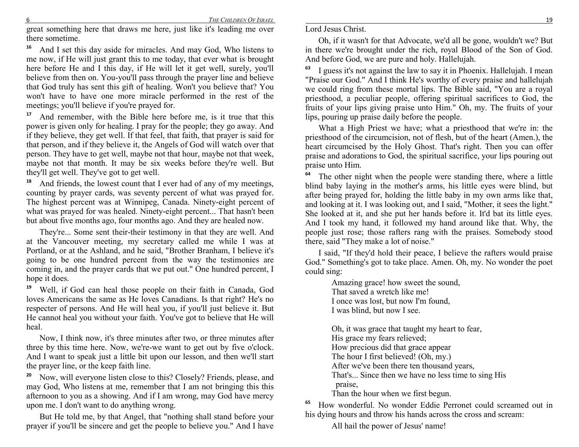great something here that draws me here, just like it's leading me over there sometime.

**16** And I set this day aside for miracles. And may God, Who listens to me now, if He will just grant this to me today, that ever what is brought here before He and I this day, if He will let it get well, surely, you'll believe from then on. You-you'll pass through the prayer line and believe that God truly has sent this gift of healing. Won't you believe that? You won't have to have one more miracle performed in the rest of the meetings; you'll believe if you're prayed for.

**17** And remember, with the Bible here before me, is it true that this power is given only for healing. I pray for the people; they go away. And if they believe, they get well. If that feel, that faith, that prayer is said for that person, and if they believe it, the Angels of God will watch over that person. They have to get well, maybe not that hour, maybe not that week, maybe not that month. It may be six weeks before they're well. But they'll get well. They've got to get well.

**18** And friends, the lowest count that I ever had of any of my meetings, counting by prayer cards, was seventy percent of what was prayed for. The highest percent was at Winnipeg, Canada. Ninety-eight percent of what was prayed for was healed. Ninety-eight percent... That hasn't been but about five months ago, four months ago. And they are healed now.

They're... Some sent their-their testimony in that they are well. And at the Vancouver meeting, my secretary called me while I was at Portland, or at the Ashland, and he said, "Brother Branham, I believe it's going to be one hundred percent from the way the testimonies are coming in, and the prayer cards that we put out." One hundred percent, I hope it does.

**19** Well, if God can heal those people on their faith in Canada, God loves Americans the same as He loves Canadians. Is that right? He's no respecter of persons. And He will heal you, if you'll just believe it. But He cannot heal you without your faith. You've got to believe that He will heal.

Now, I think now, it's three minutes after two, or three minutes after three by this time here. Now, we're-we want to get out by five o'clock. And I want to speak just a little bit upon our lesson, and then we'll start the prayer line, or the keep faith line.

**20** Now, will everyone listen close to this? Closely? Friends, please, and may God, Who listens at me, remember that I am not bringing this this afternoon to you as a showing. And if I am wrong, may God have mercy upon me. I don't want to do anything wrong.

But He told me, by that Angel, that "nothing shall stand before your prayer if you'll be sincere and get the people to believe you." And I have

Oh, if it wasn't for that Advocate, we'd all be gone, wouldn't we? But in there we're brought under the rich, royal Blood of the Son of God. And before God, we are pure and holy. Hallelujah.

**63** I guess it's not against the law to say it in Phoenix. Hallelujah. I mean "Praise our God." And I think He's worthy of every praise and hallelujah we could ring from these mortal lips. The Bible said, "You are a royal priesthood, a peculiar people, offering spiritual sacrifices to God, the fruits of your lips giving praise unto Him." Oh, my. The fruits of your lips, pouring up praise daily before the people.

What a High Priest we have; what a priesthood that we're in: the priesthood of the circumcision, not of flesh, but of the heart (Amen.), the heart circumcised by the Holy Ghost. That's right. Then you can offer praise and adorations to God, the spiritual sacrifice, your lips pouring out praise unto Him.

**64** The other night when the people were standing there, where a little blind baby laying in the mother's arms, his little eyes were blind, but after being prayed for, holding the little baby in my own arms like that, and looking at it. I was looking out, and I said, "Mother, it sees the light." She looked at it, and she put her hands before it. It'd bat its little eyes. And I took my hand, it followed my hand around like that. Why, the people just rose; those rafters rang with the praises. Somebody stood there, said "They make a lot of noise."

I said, "If they'd hold their peace, I believe the rafters would praise God." Something's got to take place. Amen. Oh, my. No wonder the poet could sing:

> Amazing grace! how sweet the sound, That saved a wretch like me! I once was lost, but now I'm found, I was blind, but now I see.

Oh, it was grace that taught my heart to fear, His grace my fears relieved; How precious did that grace appear The hour I first believed! (Oh, my.) After we've been there ten thousand years, That's... Since then we have no less time to sing His praise, Than the hour when we first begun.

**65** How wonderful. No wonder Eddie Perronet could screamed out in his dying hours and throw his hands across the cross and scream:

All hail the power of Jesus' name!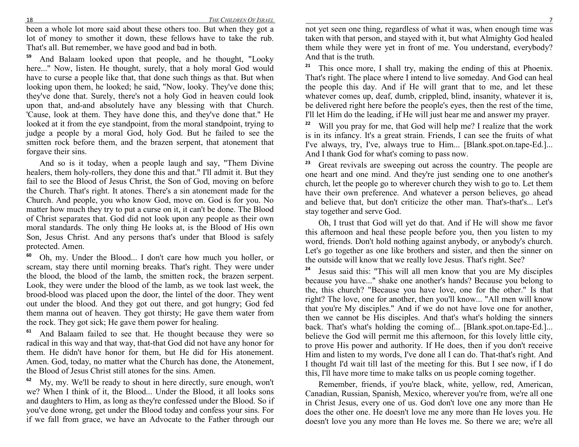been a whole lot more said about these others too. But when they got a lot of money to smother it down, these fellows have to take the rub. That's all. But remember, we have good and bad in both.

**59** And Balaam looked upon that people, and he thought, "Looky here..." Now, listen. He thought, surely, that a holy moral God would have to curse a people like that, that done such things as that. But when looking upon them, he looked; he said, "Now, looky. They've done this; they've done that. Surely, there's not a holy God in heaven could look upon that, and-and absolutely have any blessing with that Church. 'Cause, look at them. They have done this, and they've done that." He looked at it from the eye standpoint, from the moral standpoint, trying to judge a people by a moral God, holy God. But he failed to see the smitten rock before them, and the brazen serpent, that atonement that forgave their sins.

And so is it today, when a people laugh and say, "Them Divine healers, them holy-rollers, they done this and that." I'll admit it. But they fail to see the Blood of Jesus Christ, the Son of God, moving on before the Church. That's right. It atones. There's a sin atonement made for the Church. And people, you who know God, move on. God is for you. No matter how much they try to put a curse on it, it can't be done. The Blood of Christ separates that. God did not look upon any people as their own moral standards. The only thing He looks at, is the Blood of His own Son, Jesus Christ. And any persons that's under that Blood is safely protected. Amen.

**60** Oh, my. Under the Blood... I don't care how much you holler, or scream, stay there until morning breaks. That's right. They were under the blood, the blood of the lamb, the smitten rock, the brazen serpent. Look, they were under the blood of the lamb, as we took last week, the brood-blood was placed upon the door, the lintel of the door. They went out under the blood. And they got out there, and got hungry; God fed them manna out of heaven. They got thirsty; He gave them water from the rock. They got sick; He gave them power for healing.

**61** And Balaam failed to see that. He thought because they were so radical in this way and that way, that-that God did not have any honor for them. He didn't have honor for them, but He did for His atonement. Amen. God, today, no matter what the Church has done, the Atonement, the Blood of Jesus Christ still atones for the sins. Amen.

**62** My, my. We'll be ready to shout in here directly, sure enough, won't we? When I think of it, the Blood... Under the Blood, it all looks sons and daughters to Him, as long as they're confessed under the Blood. So if you've done wrong, get under the Blood today and confess your sins. For if we fall from grace, we have an Advocate to the Father through our

 not yet seen one thing, regardless of what it was, when enough time was taken with that person, and stayed with it, but what Almighty God healed them while they were yet in front of me. You understand, everybody? And that is the truth.

**21** This once more, I shall try, making the ending of this at Phoenix. That's right. The place where I intend to live someday. And God can heal the people this day. And if He will grant that to me, and let these whatever comes up, deaf, dumb, crippled, blind, insanity, whatever it is, be delivered right here before the people's eyes, then the rest of the time, I'll let Him do the leading, if He will just hear me and answer my prayer.

**22** Will you pray for me, that God will help me? I realize that the work is in its infancy. It's a great strain. Friends, I can see the fruits of what I've always, try, I've, always true to Him... [Blank.spot.on.tape-Ed.]... And I thank God for what's coming to pass now.

**23** Great revivals are sweeping out across the country. The people are one heart and one mind. And they're just sending one to one another's church, let the people go to wherever church they wish to go to. Let them have their own preference. And whatever a person believes, go ahead and believe that, but don't criticize the other man. That's-that's... Let's stay together and serve God.

Oh, I trust that God will yet do that. And if He will show me favor this afternoon and heal these people before you, then you listen to my word, friends. Don't hold nothing against anybody, or anybody's church. Let's go together as one like brothers and sister, and then the sinner on the outside will know that we really love Jesus. That's right. See?

**24** Jesus said this: "This will all men know that you are My disciples because you have..." shake one another's hands? Because you belong to the, this church? "Because you have love, one for the other." Is that right? The love, one for another, then you'll know... "All men will know that you're My disciples." And if we do not have love one for another, then we cannot be His disciples. And that's what's holding the sinners back. That's what's holding the coming of... [Blank.spot.on.tape-Ed.]... believe the God will permit me this afternoon, for this lovely little city, to prove His power and authority. If He does, then if you don't receive Him and listen to my words, I've done all I can do. That-that's right. And I thought I'd wait till last of the meeting for this. But I see now, if I do this, I'll have more time to make talks on us people coming together.

Remember, friends, if you're black, white, yellow, red, American, Canadian, Russian, Spanish, Mexico, wherever you're from, we're all one in Christ Jesus, every one of us. God don't love one any more than He does the other one. He doesn't love me any more than He loves you. He doesn't love you any more than He loves me. So there we are; we're all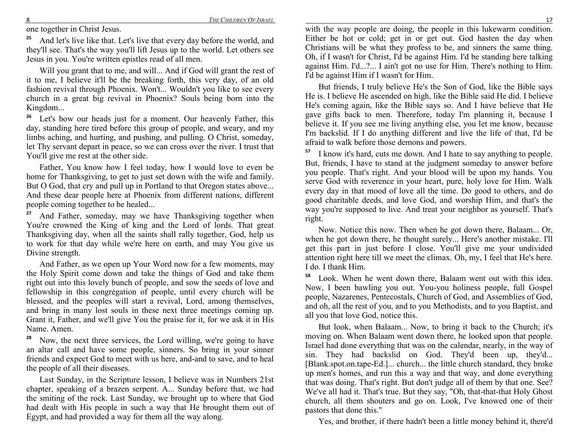one together in Christ Jesus.

**25** And let's live like that. Let's live that every day before the world, and they'll see. That's the way you'll lift Jesus up to the world. Let others see Jesus in you. You're written epistles read of all men.

Will you grant that to me, and will... And if God will grant the rest of it to me, I believe it'll be the breaking forth, this very day, of an old fashion revival through Phoenix. Won't... Wouldn't you like to see every church in a great big revival in Phoenix? Souls being born into the Kingdom...

<sup>26</sup> Let's bow our heads just for a moment. Our heavenly Father, this day, standing here tired before this group of people, and weary, and my limbs aching, and hurting, and pushing, and pulling. O Christ, someday, let Thy servant depart in peace, so we can cross over the river. I trust that You'll give me rest at the other side.

Father, You know how I feel today, how I would love to even be home for Thanksgiving, to get to just set down with the wife and family. But O God, that cry and pull up in Portland to that Oregon states above... And these dear people here at Phoenix from different nations, different people coming together to be healed...

**27** And Father, someday, may we have Thanksgiving together when You're crowned the King of king and the Lord of lords. That great Thanksgiving day, when all the saints shall rally together, God, help us to work for that day while we're here on earth, and may You give us Divine strength.

And Father, as we open up Your Word now for a few moments, may the Holy Spirit come down and take the things of God and take them right out into this lovely bunch of people, and sow the seeds of love and fellowship in this congregation of people, until every church will be blessed, and the peoples will start a revival, Lord, among themselves, and bring in many lost souls in these next three meetings coming up. Grant it, Father, and we'll give You the praise for it, for we ask it in His Name. Amen.

**28** Now, the next three services, the Lord willing, we're going to have an altar call and have some people, sinners. So bring in your sinner friends and expect God to meet with us here, and-and to save, and to heal the people of all their diseases.

Last Sunday, in the Scripture lesson, I believe was in Numbers 21st chapter, speaking of a brazen serpent. A... Sunday before that, we had the smiting of the rock. Last Sunday, we brought up to where that God had dealt with His people in such a way that He brought them out of Egypt, and had provided a way for them all the way along.

 with the way people are doing, the people in this lukewarm condition. Either be hot or cold; get in or get out. God hasten the day when Christians will be what they profess to be, and sinners the same thing. Oh, if I wasn't for Christ, I'd be against Him. I'd be standing here talking against Him. I'd...?... I ain't got no use for Him. There's nothing to Him. I'd be against Him if I wasn't for Him.

But friends, I truly believe He's the Son of God, like the Bible says He is. I believe He ascended on high, like the Bible said He did. I believe He's coming again, like the Bible says so. And I have believe that He gave gifts back to men. Therefore, today I'm planning it, because I believe it. If you see me living anything else, you let me know, because I'm backslid. If I do anything different and live the life of that, I'd be afraid to walk before those demons and powers.

**57** I know it's hard, cuts me down. And I hate to say anything to people. But, friends, I have to stand at the judgment someday to answer before you people. That's right. And your blood will be upon my hands. You serve God with reverence in your heart, pure, holy love for Him. Walk every day in that mood of love all the time. Do good to others, and do good charitable deeds, and love God, and worship Him, and that's the way you're supposed to live. And treat your neighbor as yourself. That's right.

Now. Notice this now. Then when he got down there, Balaam... Or, when he got down there, he thought surely... Here's another mistake. I'll get this part in just before I close. You'll give me your undivided attention right here till we meet the climax. Oh, my, I feel that He's here. I do. I thank Him.

**58** Look. When he went down there, Balaam went out with this idea. Now, I been bawling you out. You-you holiness people, full Gospel people, Nazarenes, Pentecostals, Church of God, and Assemblies of God, and oh, all the rest of you, and to you Methodists, and to you Baptist, and all you that love God, notice this.

But look, when Balaam... Now, to bring it back to the Church; it's moving on. When Balaam went down there, he looked upon that people. Israel had done everything that was on the calendar, nearly, in the way of sin. They had backslid on God. They'd been up, they'd... [Blank.spot.on.tape-Ed.]... church... the little church standard, they broke up men's homes, and run this a way and that way, and done everything that was doing. That's right. But don't judge all of them by that one. See? We've all had it. That's true. But they say, "Oh, that-that-that Holy Ghost church, all them shouters and go on. Look, I've knowed one of their pastors that done this."

Yes, and brother, if there hadn't been a little money behind it, there'd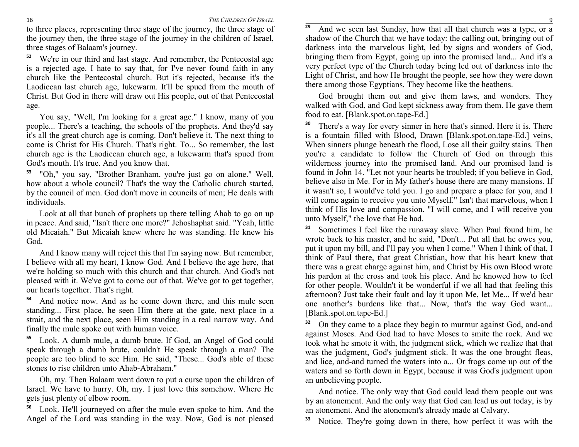*THE CHILDRE OF ISRAEL*

 to three places, representing three stage of the journey, the three stage of the journey then, the three stage of the journey in the children of Israel, three stages of Balaam's journey.

**52** We're in our third and last stage. And remember, the Pentecostal age is a rejected age. I hate to say that, for I've never found faith in any church like the Pentecostal church. But it's rejected, because it's the Laodicean last church age, lukewarm. It'll be spued from the mouth of Christ. But God in there will draw out His people, out of that Pentecostal age.

You say, "Well, I'm looking for a great age." I know, many of you people... There's a teaching, the schools of the prophets. And they'd say it's all the great church age is coming. Don't believe it. The next thing to come is Christ for His Church. That's right. To... So remember, the last church age is the Laodicean church age, a lukewarm that's spued from God's mouth. It's true. And you know that.

**53** "Oh," you say, "Brother Branham, you're just go on alone." Well, how about a whole council? That's the way the Catholic church started, by the council of men. God don't move in councils of men; He deals with individuals.

Look at all that bunch of prophets up there telling Ahab to go on up in peace. And said, "Isn't there one more?" Jehoshaphat said. "Yeah, little old Micaiah." But Micaiah knew where he was standing. He knew his God.

And I know many will reject this that I'm saying now. But remember, I believe with all my heart, I know God. And I believe the age here, that we're holding so much with this church and that church. And God's not pleased with it. We've got to come out of that. We've got to get together, our hearts together. That's right.

**54** And notice now. And as he come down there, and this mule seen standing... First place, he seen Him there at the gate, next place in a strait, and the next place, seen Him standing in a real narrow way. And finally the mule spoke out with human voice.

**55** Look. A dumb mule, a dumb brute. If God, an Angel of God could speak through a dumb brute, couldn't He speak through a man? The people are too blind to see Him. He said, "These... God's able of these stones to rise children unto Ahab-Abraham."

Oh, my. Then Balaam went down to put a curse upon the children of Israel. We have to hurry. Oh, my. I just love this somehow. Where He gets just plenty of elbow room.

**56** Look. He'll journeyed on after the mule even spoke to him. And the Angel of the Lord was standing in the way. Now, God is not pleased

<sup>9</sup> And we seen last Sunday, how that all that church was a type, or a **29** shadow of the Church that we have today: the calling out, bringing out of darkness into the marvelous light, led by signs and wonders of God, bringing them from Egypt, going up into the promised land... And it's a very perfect type of the Church today being led out of darkness into the Light of Christ, and how He brought the people, see how they were down there among those Egyptians. They become like the heathens.

God brought them out and give them laws, and wonders. They walked with God, and God kept sickness away from them. He gave them food to eat. [Blank.spot.on.tape-Ed.]

**30** There's a way for every sinner in here that's sinned. Here it is. There is a fountain filled with Blood, Drawn [Blank.spot.on.tape-Ed.] veins, When sinners plunge beneath the flood, Lose all their guilty stains. Then you're a candidate to follow the Church of God on through this wilderness journey into the promised land. And our promised land is found in John 14. "Let not your hearts be troubled; if you believe in God, believe also in Me. For in My father's house there are many mansions. If it wasn't so, I would've told you. I go and prepare a place for you, and I will come again to receive you unto Myself." Isn't that marvelous, when I think of His love and compassion. "I will come, and I will receive you unto Myself," the love that He had.

**31** Sometimes I feel like the runaway slave. When Paul found him, he wrote back to his master, and he said, "Don't... Put all that he owes you, put it upon my bill, and I'll pay you when I come." When I think of that, I think of Paul there, that great Christian, how that his heart knew that there was a great charge against him, and Christ by His own Blood wrote his pardon at the cross and took his place. And he knowed how to feel for other people. Wouldn't it be wonderful if we all had that feeling this afternoon? Just take their fault and lay it upon Me, let Me... If we'd bear one another's burdens like that... Now, that's the way God want... [Blank.spot.on.tape-Ed.]

**32** On they came to a place they begin to murmur against God, and-and against Moses. And God had to have Moses to smite the rock. And we took what he smote it with, the judgment stick, which we realize that that was the judgment, God's judgment stick. It was the one brought fleas, and lice, and-and turned the waters into a... Or frogs come up out of the waters and so forth down in Egypt, because it was God's judgment upon an unbelieving people.

And notice. The only way that God could lead them people out was by an atonement. And the only way that God can lead us out today, is by an atonement. And the atonement's already made at Calvary.

**33**Notice. They're going down in there, how perfect it was with the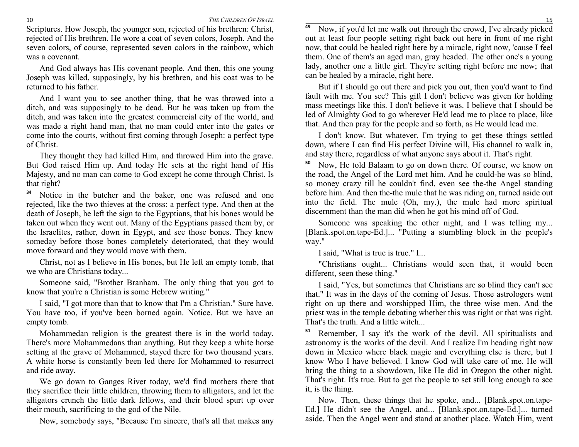*THE CHILDRE OF ISRAEL*

 Scriptures. How Joseph, the younger son, rejected of his brethren: Christ, rejected of His brethren. He wore a coat of seven colors, Joseph. And the seven colors, of course, represented seven colors in the rainbow, which was a covenant.

And God always has His covenant people. And then, this one young Joseph was killed, supposingly, by his brethren, and his coat was to be returned to his father.

And I want you to see another thing, that he was throwed into a ditch, and was supposingly to be dead. But he was taken up from the ditch, and was taken into the greatest commercial city of the world, and was made a right hand man, that no man could enter into the gates or come into the courts, without first coming through Joseph: a perfect type of Christ.

They thought they had killed Him, and throwed Him into the grave. But God raised Him up. And today He sets at the right hand of His Majesty, and no man can come to God except he come through Christ. Is that right?

**34** Notice in the butcher and the baker, one was refused and one rejected, like the two thieves at the cross: a perfect type. And then at the death of Joseph, he left the sign to the Egyptians, that his bones would be taken out when they went out. Many of the Egyptians passed them by, or the Israelites, rather, down in Egypt, and see those bones. They knew someday before those bones completely deteriorated, that they would move forward and they would move with them.

Christ, not as I believe in His bones, but He left an empty tomb, that we who are Christians today...

Someone said, "Brother Branham. The only thing that you got to know that you're a Christian is some Hebrew writing."

I said, "I got more than that to know that I'm a Christian." Sure have. You have too, if you've been borned again. Notice. But we have an empty tomb.

Mohammedan religion is the greatest there is in the world today. There's more Mohammedans than anything. But they keep a white horse setting at the grave of Mohammed, stayed there for two thousand years. A white horse is constantly been led there for Mohammed to resurrect and ride away.

We go down to Ganges River today, we'd find mothers there that they sacrifice their little children, throwing them to alligators, and let the alligators crunch the little dark fellows, and their blood spurt up over their mouth, sacrificing to the god of the Nile.

Now, somebody says, "Because I'm sincere, that's all that makes any

<sup>9</sup> Now, if you'd let me walk out through the crowd, I've already picked **49** out at least four people setting right back out here in front of me right now, that could be healed right here by a miracle, right now, 'cause I feel them. One of them's an aged man, gray headed. The other one's a young lady, another one a little girl. They're setting right before me now; that can be healed by a miracle, right here.

But if I should go out there and pick you out, then you'd want to find fault with me. You see? This gift I don't believe was given for holding mass meetings like this. I don't believe it was. I believe that I should be led of Almighty God to go wherever He'd lead me to place to place, like that. And then pray for the people and so forth, as He would lead me.

I don't know. But whatever, I'm trying to get these things settled down, where I can find His perfect Divine will, His channel to walk in, and stay there, regardless of what anyone says about it. That's right.

**50** Now, He told Balaam to go on down there. Of course, we know on the road, the Angel of the Lord met him. And he could-he was so blind, so money crazy till he couldn't find, even see the-the Angel standing before him. And then the-the mule that he was riding on, turned aside out into the field. The mule (Oh, my.), the mule had more spiritual discernment than the man did when he got his mind off of God.

Someone was speaking the other night, and I was telling my... [Blank.spot.on.tape-Ed.]... "Putting a stumbling block in the people's way."

I said, "What is true is true." I...

"Christians ought... Christians would seen that, it would been different, seen these thing."

I said, "Yes, but sometimes that Christians are so blind they can't see that." It was in the days of the coming of Jesus. Those astrologers went right on up there and worshipped Him, the three wise men. And the priest was in the temple debating whether this was right or that was right. That's the truth. And a little witch...

**51** Remember, I say it's the work of the devil. All spiritualists and astronomy is the works of the devil. And I realize I'm heading right now down in Mexico where black magic and everything else is there, but I know Who I have believed. I know God will take care of me. He will bring the thing to a showdown, like He did in Oregon the other night. That's right. It's true. But to get the people to set still long enough to see it, is the thing.

Now. Then, these things that he spoke, and... [Blank.spot.on.tape-Ed.] He didn't see the Angel, and... [Blank.spot.on.tape-Ed.]... turned aside. Then the Angel went and stand at another place. Watch Him, went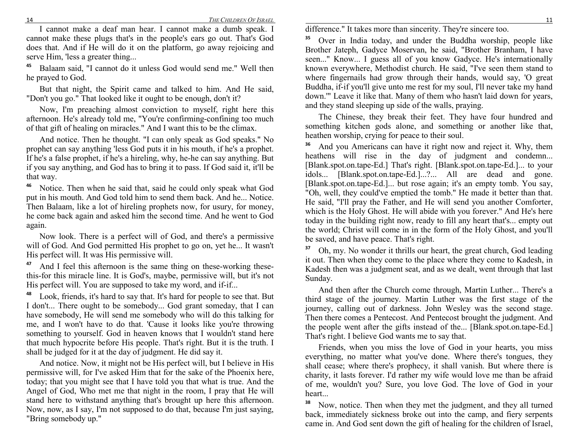*THE CHILDRE OF ISRAEL*

 I cannot make a deaf man hear. I cannot make a dumb speak. I cannot make these plugs that's in the people's ears go out. That's God does that. And if He will do it on the platform, go away rejoicing and serve Him, 'less a greater thing...

<sup>5</sup> Balaam said, "I cannot do it unless God would send me." Well then **45**he prayed to God.

But that night, the Spirit came and talked to him. And He said, "Don't you go." That looked like it ought to be enough, don't it?

Now, I'm preaching almost conviction to myself, right here this afternoon. He's already told me, "You're confirming-confining too much of that gift of healing on miracles." And I want this to be the climax.

And notice. Then he thought. "I can only speak as God speaks." No prophet can say anything 'less God puts it in his mouth, if he's a prophet. If he's a false prophet, if he's a hireling, why, he-he can say anything. But if you say anything, and God has to bring it to pass. If God said it, it'll be that way.

**46** Notice. Then when he said that, said he could only speak what God put in his mouth. And God told him to send them back. And he... Notice. Then Balaam, like a lot of hireling prophets now, for usury, for money, he come back again and asked him the second time. And he went to God again.

Now look. There is a perfect will of God, and there's a permissive will of God. And God permitted His prophet to go on, yet he... It wasn't His perfect will. It was His permissive will.

**47** And I feel this afternoon is the same thing on these-working thesethis-for this miracle line. It is God's, maybe, permissive will, but it's not His perfect will. You are supposed to take my word, and if-if...

**48** Look, friends, it's hard to say that. It's hard for people to see that. But I don't... There ought to be somebody... God grant someday, that I can have somebody, He will send me somebody who will do this talking for me, and I won't have to do that. 'Cause it looks like you're throwing something to yourself. God in heaven knows that I wouldn't stand here that much hypocrite before His people. That's right. But it is the truth. I shall be judged for it at the day of judgment. He did say it.

And notice. Now, it might not be His perfect will, but I believe in His permissive will, for I've asked Him that for the sake of the Phoenix here, today; that you might see that I have told you that what is true. And the Angel of God, Who met me that night in the room, I pray that He will stand here to withstand anything that's brought up here this afternoon. Now, now, as I say, I'm not supposed to do that, because I'm just saying, "Bring somebody up."

difference." It takes more than sincerity. They're sincere too.

**35** Over in India today, and under the Buddha worship, people like Brother Jateph, Gadyce Moservan, he said, "Brother Branham, I have seen..." Know... I guess all of you know Gadyce. He's internationally known everywhere, Methodist church. He said, "I've seen them stand to where fingernails had grow through their hands, would say, 'O great Buddha, if-if you'll give unto me rest for my soul, I'll never take my hand down.'" Leave it like that. Many of them who hasn't laid down for years, and they stand sleeping up side of the walls, praying.

The Chinese, they break their feet. They have four hundred and something kitchen gods alone, and something or another like that, heathen worship, crying for peace to their soul.

**36** And you Americans can have it right now and reject it. Why, them heathens will rise in the day of judgment and condemn... [Blank.spot.on.tape-Ed.] That's right. [Blank.spot.on.tape-Ed.]... to your idols... [Blank.spot.on.tape-Ed.]...?... All are dead and gone. [Blank.spot.on.tape-Ed.]... but rose again; it's an empty tomb. You say, "Oh, well, they could've emptied the tomb." He made it better than that. He said, "I'll pray the Father, and He will send you another Comforter, which is the Holy Ghost. He will abide with you forever." And He's here today in the building right now, ready to fill any heart that's... empty out the world; Christ will come in in the form of the Holy Ghost, and you'll be saved, and have peace. That's right.

**37** Oh, my. No wonder it thrills our heart, the great church, God leading it out. Then when they come to the place where they come to Kadesh, in Kadesh then was a judgment seat, and as we dealt, went through that last Sunday.

And then after the Church come through, Martin Luther... There's a third stage of the journey. Martin Luther was the first stage of the journey, calling out of darkness. John Wesley was the second stage. Then there comes a Pentecost. And Pentecost brought the judgment. And the people went after the gifts instead of the... [Blank.spot.on.tape-Ed.] That's right. I believe God wants me to say that.

Friends, when you miss the love of God in your hearts, you miss everything, no matter what you've done. Where there's tongues, they shall cease; where there's prophecy, it shall vanish. But where there is charity, it lasts forever. I'd rather my wife would love me than be afraid of me, wouldn't you? Sure, you love God. The love of God in your heart...

**38** Now, notice. Then when they met the judgment, and they all turned back, immediately sickness broke out into the camp, and fiery serpents came in. And God sent down the gift of healing for the children of Israel,